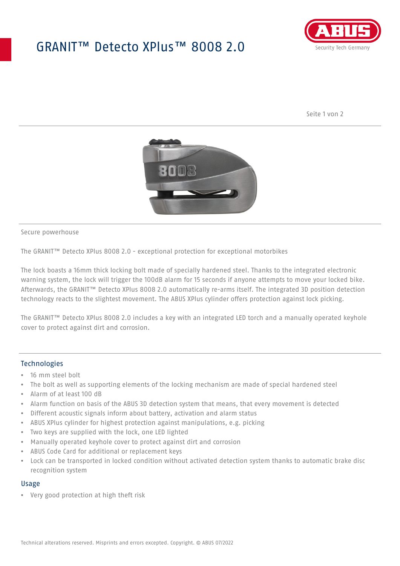## GRANIT™ Detecto XPlus™ 8008 2.0



Seite 1 von 2



Secure powerhouse

The GRANIT™ Detecto XPlus 8008 2.0 - exceptional protection for exceptional motorbikes

The lock boasts a 16mm thick locking bolt made of specially hardened steel. Thanks to the integrated electronic warning system, the lock will trigger the 100dB alarm for 15 seconds if anyone attempts to move your locked bike. Afterwards, the GRANIT™ Detecto XPlus 8008 2.0 automatically re-arms itself. The integrated 3D position detection technology reacts to the slightest movement. The ABUS XPlus cylinder offers protection against lock picking.

The GRANIT™ Detecto XPlus 8008 2.0 includes a key with an integrated LED torch and a manually operated keyhole cover to protect against dirt and corrosion.

### Technologies

- 16 mm steel bolt
- The bolt as well as supporting elements of the locking mechanism are made of special hardened steel
- Alarm of at least 100 dB
- Alarm function on basis of the ABUS 3D detection system that means, that every movement is detected
- Different acoustic signals inform about battery, activation and alarm status
- ABUS XPlus cylinder for highest protection against manipulations, e.g. picking
- Two keys are supplied with the lock, one LED lighted
- Manually operated keyhole cover to protect against dirt and corrosion
- ABUS Code Card for additional or replacement keys
- Lock can be transported in locked condition without activated detection system thanks to automatic brake disc recognition system

#### Usage

• Very good protection at high theft risk